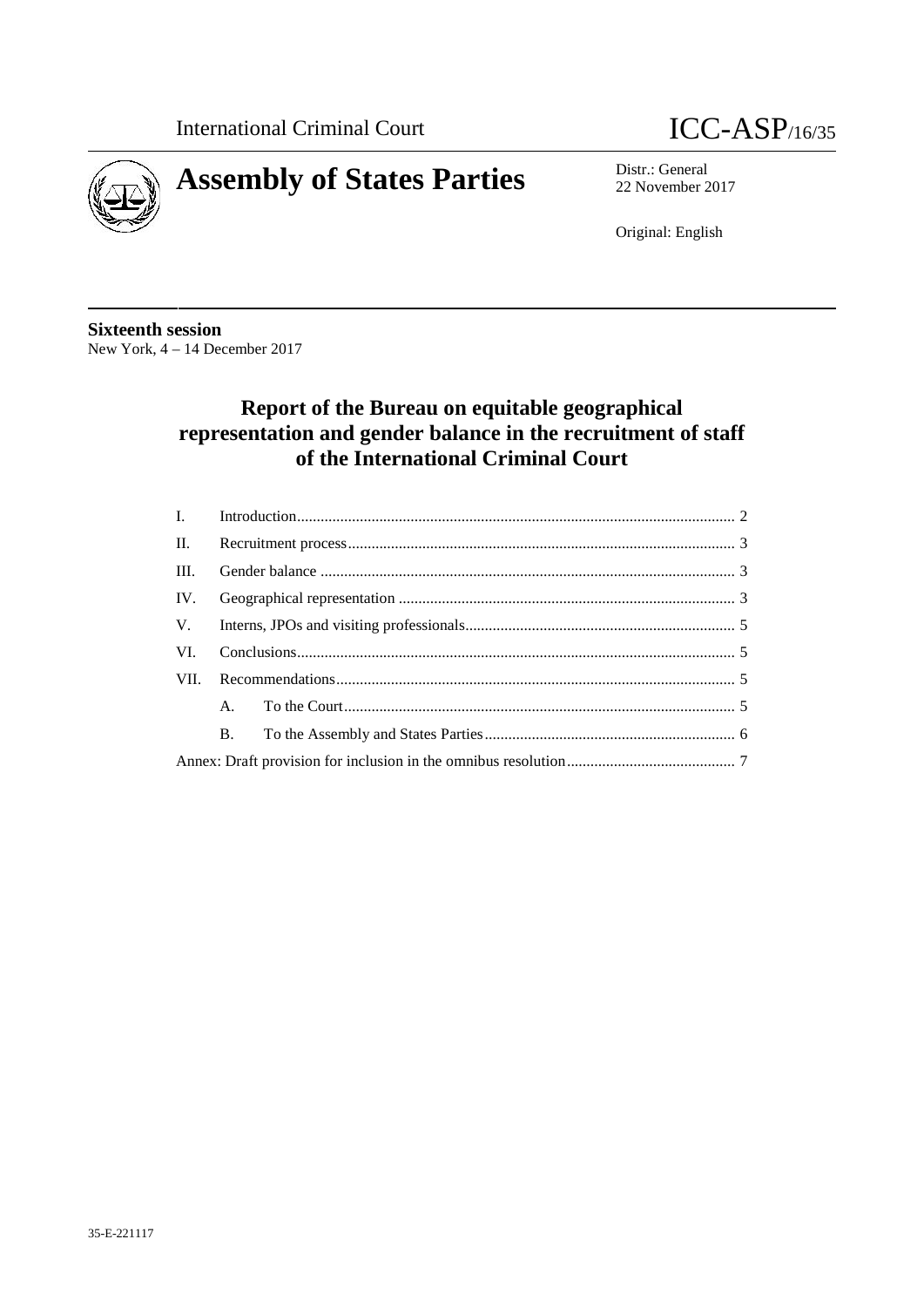



22 November 2017

Original: English

**Sixteenth session** New York, 4 – 14 December 2017

# **Report of the Bureau on equitable geographical representation and gender balance in the recruitment of staff of the International Criminal Court**

| $\mathbf{I}$ . |             |  |  |
|----------------|-------------|--|--|
| $\Pi$ .        |             |  |  |
| III.           |             |  |  |
| IV.            |             |  |  |
| V.             |             |  |  |
| VI.            |             |  |  |
| VII.           |             |  |  |
|                | $A_{\cdot}$ |  |  |
|                | <b>B.</b>   |  |  |
|                |             |  |  |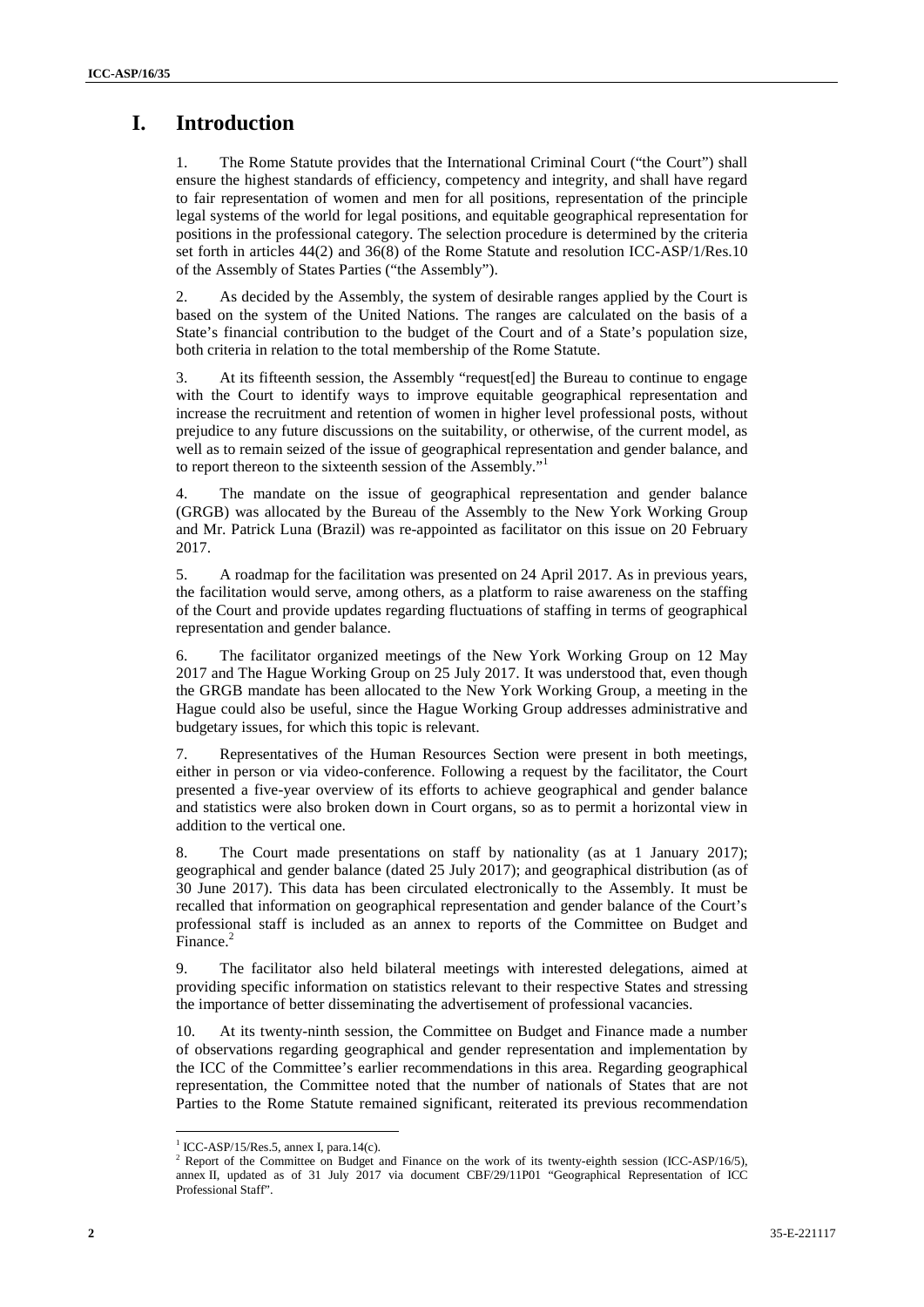# **I. Introduction**

1. The Rome Statute provides that the International Criminal Court ("the Court") shall ensure the highest standards of efficiency, competency and integrity, and shall have regard to fair representation of women and men for all positions, representation of the principle legal systems of the world for legal positions, and equitable geographical representation for positions in the professional category. The selection procedure is determined by the criteria set forth in articles 44(2) and 36(8) of the Rome Statute and resolution ICC-ASP/1/Res.10 of the Assembly of States Parties ("the Assembly").

2. As decided by the Assembly, the system of desirable ranges applied by the Court is based on the system of the United Nations. The ranges are calculated on the basis of a State's financial contribution to the budget of the Court and of a State's population size, both criteria in relation to the total membership of the Rome Statute.

3. At its fifteenth session, the Assembly "request[ed] the Bureau to continue to engage with the Court to identify ways to improve equitable geographical representation and increase the recruitment and retention of women in higher level professional posts, without prejudice to any future discussions on the suitability, or otherwise, of the current model, as well as to remain seized of the issue of geographical representation and gender balance, and to report thereon to the sixteenth session of the Assembly."<sup>1</sup>

4. The mandate on the issue of geographical representation and gender balance (GRGB) was allocated by the Bureau of the Assembly to the New York Working Group and Mr. Patrick Luna (Brazil) was re-appointed as facilitator on this issue on 20 February 2017.

5. A roadmap for the facilitation was presented on 24 April 2017. As in previous years, the facilitation would serve, among others, as a platform to raise awareness on the staffing of the Court and provide updates regarding fluctuations of staffing in terms of geographical representation and gender balance.

6. The facilitator organized meetings of the New York Working Group on 12 May 2017 and The Hague Working Group on 25 July 2017. It was understood that, even though the GRGB mandate has been allocated to the New York Working Group, a meeting in the Hague could also be useful, since the Hague Working Group addresses administrative and budgetary issues, for which this topic is relevant.

7. Representatives of the Human Resources Section were present in both meetings, either in person or via video-conference. Following a request by the facilitator, the Court presented a five-year overview of its efforts to achieve geographical and gender balance and statistics were also broken down in Court organs, so as to permit a horizontal view in addition to the vertical one.

8. The Court made presentations on staff by nationality (as at 1 January 2017); geographical and gender balance (dated 25 July 2017); and geographical distribution (as of 30 June 2017). This data has been circulated electronically to the Assembly. It must be recalled that information on geographical representation and gender balance of the Court's professional staff is included as an annex to reports of the Committee on Budget and Finance.<sup>2</sup>

9. The facilitator also held bilateral meetings with interested delegations, aimed at providing specific information on statistics relevant to their respective States and stressing the importance of better disseminating the advertisement of professional vacancies.

10. At its twenty-ninth session, the Committee on Budget and Finance made a number of observations regarding geographical and gender representation and implementation by the ICC of the Committee's earlier recommendations in this area. Regarding geographical representation, the Committee noted that the number of nationals of States that are not Parties to the Rome Statute remained significant, reiterated its previous recommendation

 $1$  ICC-ASP/15/Res.5, annex I, para.14(c).

<sup>&</sup>lt;sup>2</sup> Report of the Committee on Budget and Finance on the work of its twenty-eighth session (ICC-ASP/16/5), annex II, updated as of 31 July 2017 via document CBF/29/11P01 "Geographical Representation of ICC Professional Staff".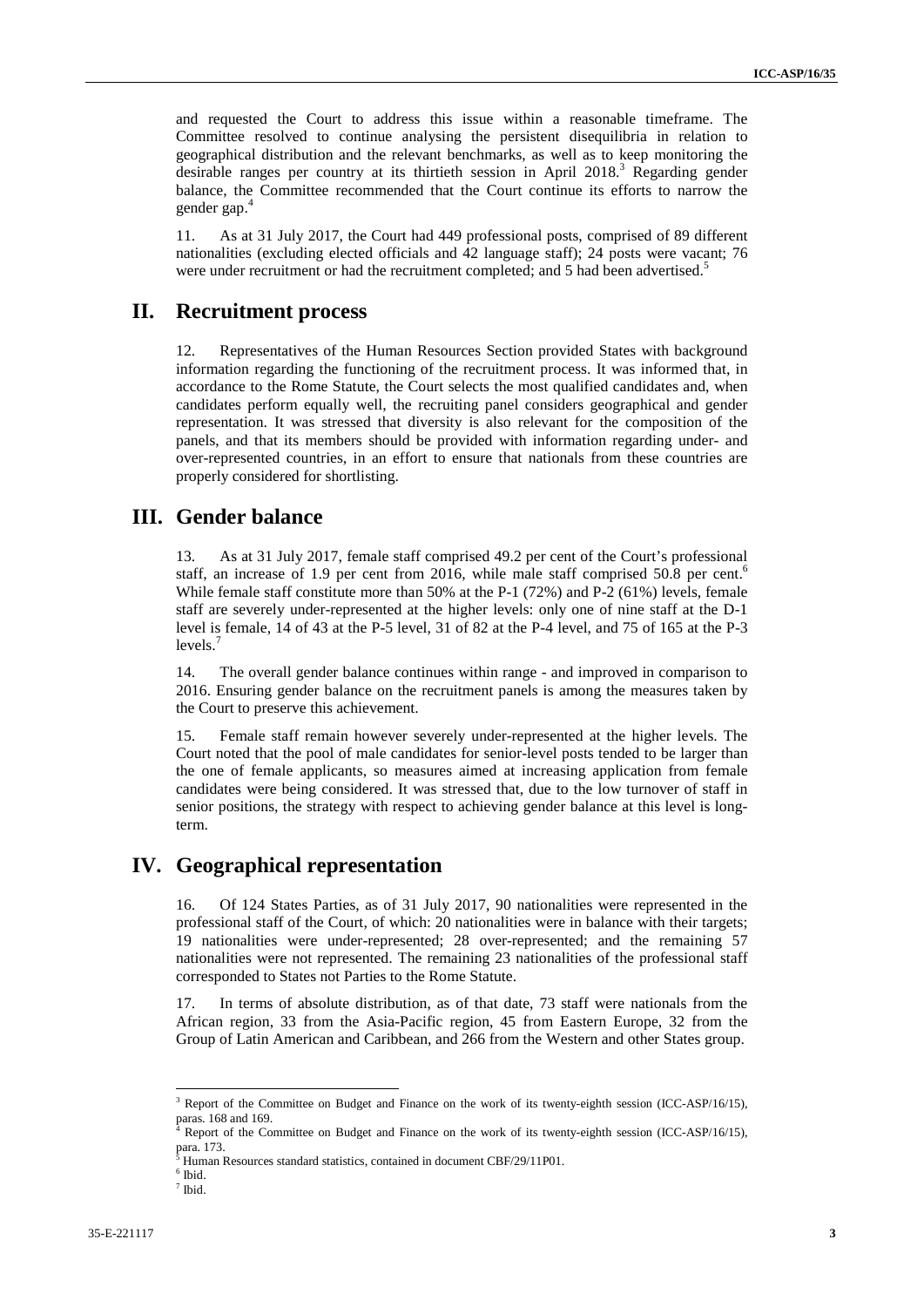and requested the Court to address this issue within a reasonable timeframe. The Committee resolved to continue analysing the persistent disequilibria in relation to geographical distribution and the relevant benchmarks, as well as to keep monitoring the desirable ranges per country at its thirtieth session in April 2018.<sup>3</sup> Regarding gender balance, the Committee recommended that the Court continue its efforts to narrow the gender gap.

11. As at 31 July 2017, the Court had 449 professional posts, comprised of 89 different nationalities (excluding elected officials and 42 language staff); 24 posts were vacant; 76 were under recruitment or had the recruitment completed; and 5 had been advertised.<sup>5</sup>

## **II. Recruitment process**

12. Representatives of the Human Resources Section provided States with background information regarding the functioning of the recruitment process. It was informed that, in accordance to the Rome Statute, the Court selects the most qualified candidates and, when candidates perform equally well, the recruiting panel considers geographical and gender representation. It was stressed that diversity is also relevant for the composition of the panels, and that its members should be provided with information regarding under- and over-represented countries, in an effort to ensure that nationals from these countries are properly considered for shortlisting.

## **III. Gender balance**

13. As at 31 July 2017, female staff comprised 49.2 per cent of the Court's professional staff, an increase of 1.9 per cent from 2016, while male staff comprised 50.8 per cent.<sup>6</sup> While female staff constitute more than 50% at the P-1 (72%) and P-2 (61%) levels, female staff are severely under-represented at the higher levels: only one of nine staff at the D-1 level is female, 14 of 43 at the P-5 level, 31 of 82 at the P-4 level, and 75 of 165 at the P-3  $levels<sub>1</sub>$ 

14. The overall gender balance continues within range - and improved in comparison to 2016. Ensuring gender balance on the recruitment panels is among the measures taken by the Court to preserve this achievement.

15. Female staff remain however severely under-represented at the higher levels. The Court noted that the pool of male candidates for senior-level posts tended to be larger than the one of female applicants, so measures aimed at increasing application from female candidates were being considered. It was stressed that, due to the low turnover of staff in senior positions, the strategy with respect to achieving gender balance at this level is longterm.

## **IV. Geographical representation**

16. Of 124 States Parties, as of 31 July 2017, 90 nationalities were represented in the professional staff of the Court, of which: 20 nationalities were in balance with their targets; 19 nationalities were under-represented; 28 over-represented; and the remaining 57 nationalities were not represented. The remaining 23 nationalities of the professional staff corresponded to States not Parties to the Rome Statute.

17. In terms of absolute distribution, as of that date, 73 staff were nationals from the African region, 33 from the Asia-Pacific region, 45 from Eastern Europe, 32 from the Group of Latin American and Caribbean, and 266 from the Western and other States group.

<sup>&</sup>lt;sup>3</sup> Report of the Committee on Budget and Finance on the work of its twenty-eighth session (ICC-ASP/16/15), paras. 168 and 169.

<sup>4</sup> Report of the Committee on Budget and Finance on the work of its twenty-eighth session (ICC-ASP/16/15), para. 173.

 $^5$  Human Resources standard statistics, contained in document CBF/29/11P01.<br><sup>6</sup> Ibid.

 $<sup>7</sup>$  Ibid.</sup>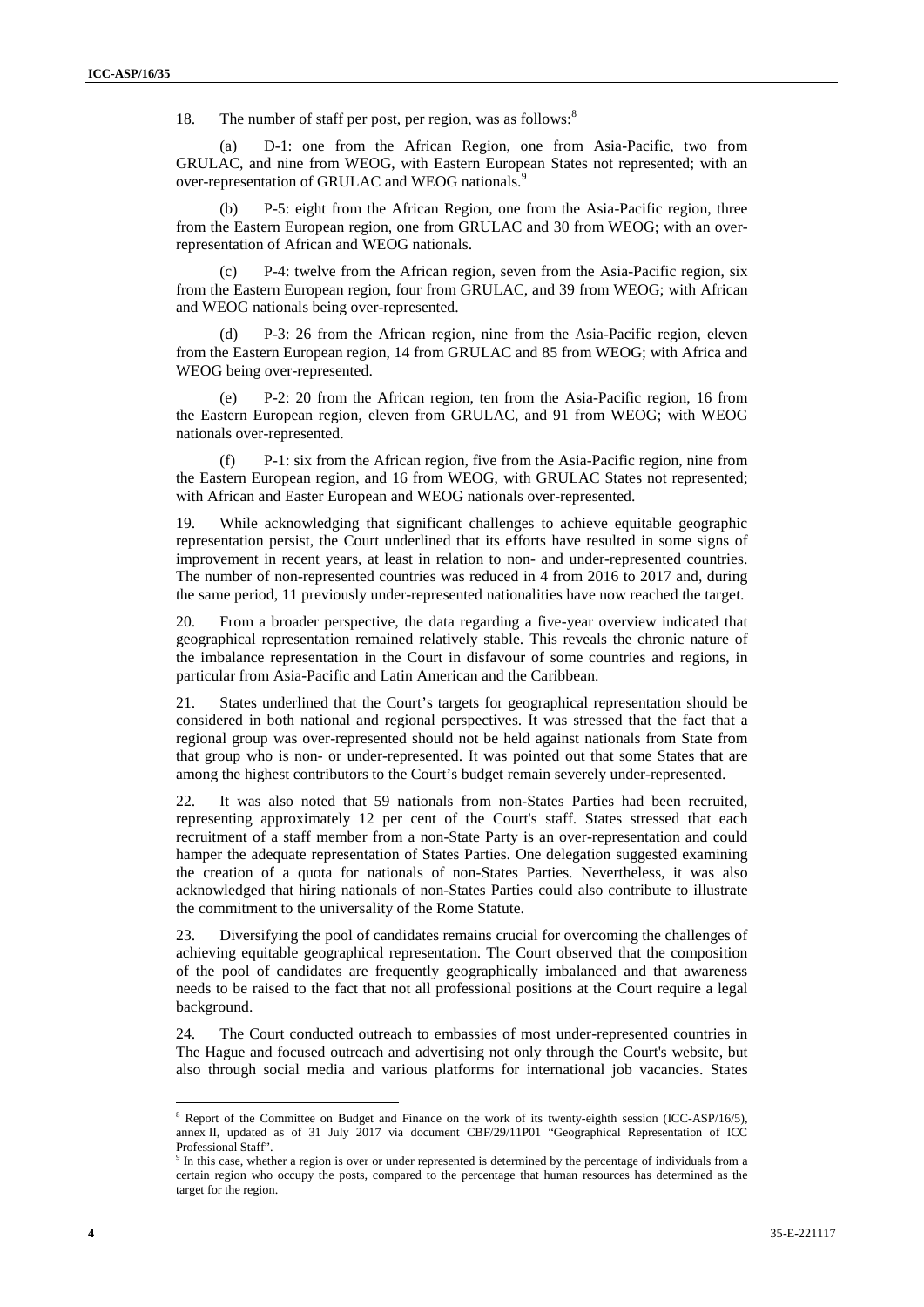18. The number of staff per post, per region, was as follows:<sup>8</sup>

(a) D-1: one from the African Region, one from Asia-Pacific, two from GRULAC, and nine from WEOG, with Eastern European States not represented; with an over-representation of GRULAC and WEOG nationals.<sup>9</sup>

(b) P-5: eight from the African Region, one from the Asia-Pacific region, three from the Eastern European region, one from GRULAC and 30 from WEOG; with an overrepresentation of African and WEOG nationals.

(c) P-4: twelve from the African region, seven from the Asia-Pacific region, six from the Eastern European region, four from GRULAC, and 39 from WEOG; with African and WEOG nationals being over-represented.

P-3: 26 from the African region, nine from the Asia-Pacific region, eleven from the Eastern European region, 14 from GRULAC and 85 from WEOG; with Africa and WEOG being over-represented.

(e) P-2: 20 from the African region, ten from the Asia-Pacific region, 16 from the Eastern European region, eleven from GRULAC, and 91 from WEOG; with WEOG nationals over-represented.

(f) P-1: six from the African region, five from the Asia-Pacific region, nine from the Eastern European region, and 16 from WEOG, with GRULAC States not represented; with African and Easter European and WEOG nationals over-represented.

19. While acknowledging that significant challenges to achieve equitable geographic representation persist, the Court underlined that its efforts have resulted in some signs of improvement in recent years, at least in relation to non- and under-represented countries. The number of non-represented countries was reduced in 4 from 2016 to 2017 and, during the same period, 11 previously under-represented nationalities have now reached the target.

20. From a broader perspective, the data regarding a five-year overview indicated that geographical representation remained relatively stable. This reveals the chronic nature of the imbalance representation in the Court in disfavour of some countries and regions, in particular from Asia-Pacific and Latin American and the Caribbean.

21. States underlined that the Court's targets for geographical representation should be considered in both national and regional perspectives. It was stressed that the fact that a regional group was over-represented should not be held against nationals from State from that group who is non- or under-represented. It was pointed out that some States that are among the highest contributors to the Court's budget remain severely under-represented.

It was also noted that 59 nationals from non-States Parties had been recruited, representing approximately 12 per cent of the Court's staff. States stressed that each recruitment of a staff member from a non-State Party is an over-representation and could hamper the adequate representation of States Parties. One delegation suggested examining the creation of a quota for nationals of non-States Parties. Nevertheless, it was also acknowledged that hiring nationals of non-States Parties could also contribute to illustrate the commitment to the universality of the Rome Statute.

23. Diversifying the pool of candidates remains crucial for overcoming the challenges of achieving equitable geographical representation. The Court observed that the composition of the pool of candidates are frequently geographically imbalanced and that awareness needs to be raised to the fact that not all professional positions at the Court require a legal background.

24. The Court conducted outreach to embassies of most under-represented countries in The Hague and focused outreach and advertising not only through the Court's website, but also through social media and various platforms for international job vacancies. States

<sup>8</sup> Report of the Committee on Budget and Finance on the work of its twenty-eighth session (ICC-ASP/16/5), annex II, updated as of 31 July 2017 via document CBF/29/11P01 "Geographical Representation of ICC<br>Professional Staff".

 $9$  In this case, whether a region is over or under represented is determined by the percentage of individuals from a certain region who occupy the posts, compared to the percentage that human resources has determined as the target for the region.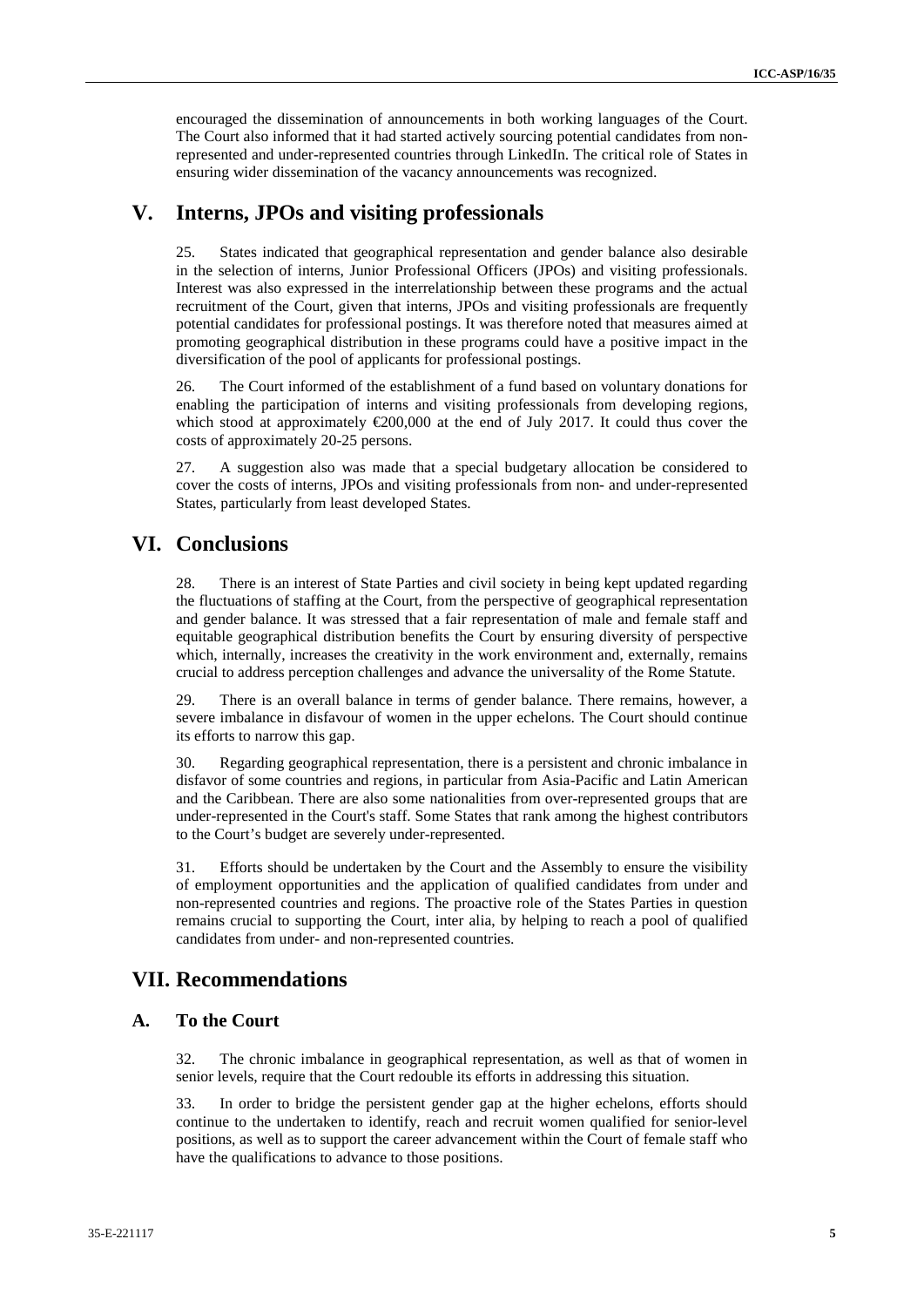encouraged the dissemination of announcements in both working languages of the Court. The Court also informed that it had started actively sourcing potential candidates from nonrepresented and under-represented countries through LinkedIn. The critical role of States in ensuring wider dissemination of the vacancy announcements was recognized.

## **V. Interns, JPOs and visiting professionals**

25. States indicated that geographical representation and gender balance also desirable in the selection of interns, Junior Professional Officers (JPOs) and visiting professionals. Interest was also expressed in the interrelationship between these programs and the actual recruitment of the Court, given that interns, JPOs and visiting professionals are frequently potential candidates for professional postings. It was therefore noted that measures aimed at promoting geographical distribution in these programs could have a positive impact in the diversification of the pool of applicants for professional postings.

26. The Court informed of the establishment of a fund based on voluntary donations for enabling the participation of interns and visiting professionals from developing regions, which stood at approximately  $\epsilon 200,000$  at the end of July 2017. It could thus cover the costs of approximately 20-25 persons.

27. A suggestion also was made that a special budgetary allocation be considered to cover the costs of interns, JPOs and visiting professionals from non- and under-represented States, particularly from least developed States.

## **VI. Conclusions**

28. There is an interest of State Parties and civil society in being kept updated regarding the fluctuations of staffing at the Court, from the perspective of geographical representation and gender balance. It was stressed that a fair representation of male and female staff and equitable geographical distribution benefits the Court by ensuring diversity of perspective which, internally, increases the creativity in the work environment and, externally, remains crucial to address perception challenges and advance the universality of the Rome Statute.

29. There is an overall balance in terms of gender balance. There remains, however, a severe imbalance in disfavour of women in the upper echelons. The Court should continue its efforts to narrow this gap.

30. Regarding geographical representation, there is a persistent and chronic imbalance in disfavor of some countries and regions, in particular from Asia-Pacific and Latin American and the Caribbean. There are also some nationalities from over-represented groups that are under-represented in the Court's staff. Some States that rank among the highest contributors to the Court's budget are severely under-represented.

31. Efforts should be undertaken by the Court and the Assembly to ensure the visibility of employment opportunities and the application of qualified candidates from under and non-represented countries and regions. The proactive role of the States Parties in question remains crucial to supporting the Court, inter alia, by helping to reach a pool of qualified candidates from under- and non-represented countries.

## **VII. Recommendations**

#### **A. To the Court**

32. The chronic imbalance in geographical representation, as well as that of women in senior levels, require that the Court redouble its efforts in addressing this situation.

33. In order to bridge the persistent gender gap at the higher echelons, efforts should continue to the undertaken to identify, reach and recruit women qualified for senior-level positions, as well as to support the career advancement within the Court of female staff who have the qualifications to advance to those positions.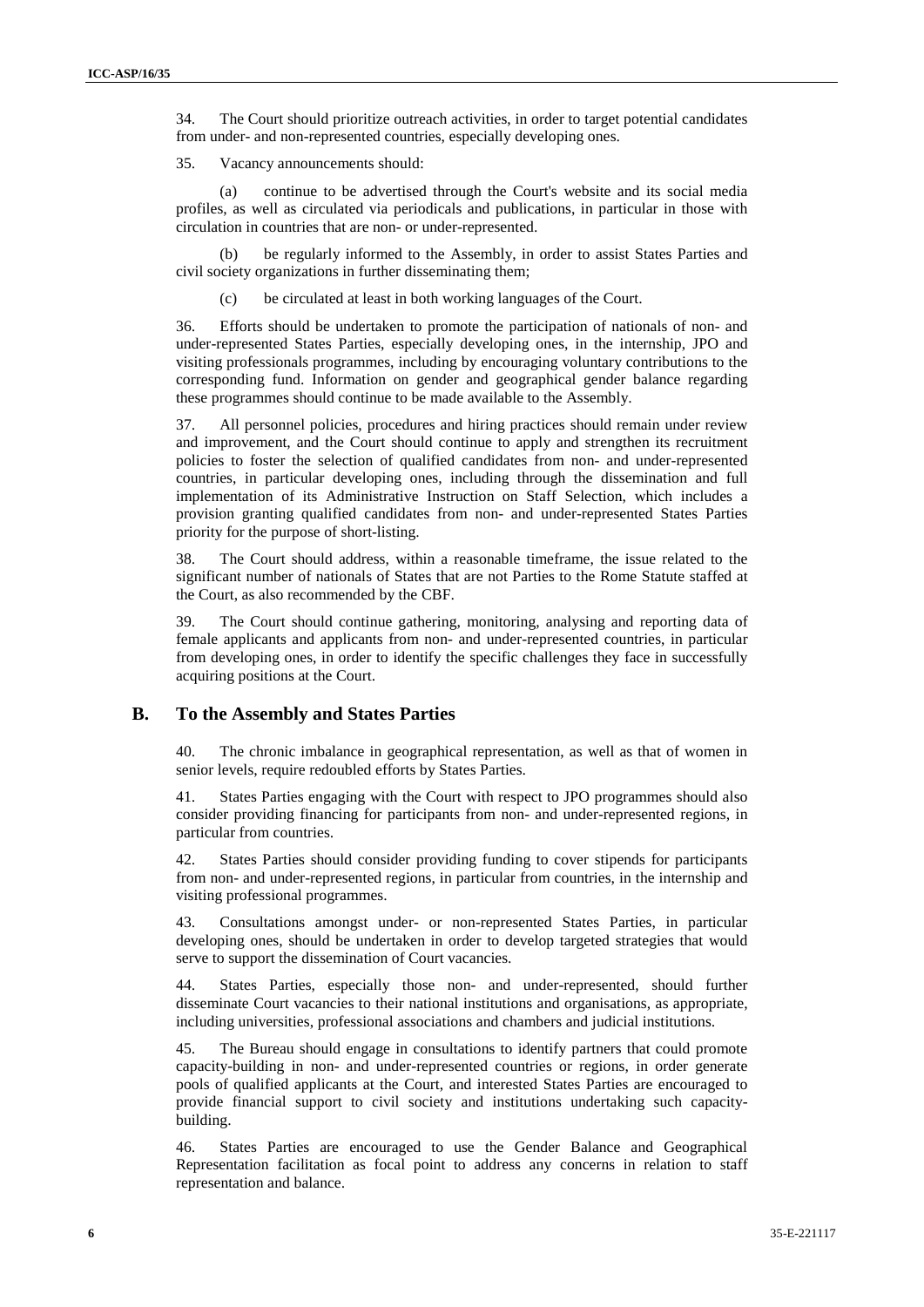34. The Court should prioritize outreach activities, in order to target potential candidates from under- and non-represented countries, especially developing ones.

35. Vacancy announcements should:

(a) continue to be advertised through the Court's website and its social media profiles, as well as circulated via periodicals and publications, in particular in those with circulation in countries that are non- or under-represented.

(b) be regularly informed to the Assembly, in order to assist States Parties and civil society organizations in further disseminating them;

(c) be circulated at least in both working languages of the Court.

36. Efforts should be undertaken to promote the participation of nationals of non- and under-represented States Parties, especially developing ones, in the internship, JPO and visiting professionals programmes, including by encouraging voluntary contributions to the corresponding fund. Information on gender and geographical gender balance regarding these programmes should continue to be made available to the Assembly.

37. All personnel policies, procedures and hiring practices should remain under review and improvement, and the Court should continue to apply and strengthen its recruitment policies to foster the selection of qualified candidates from non- and under-represented countries, in particular developing ones, including through the dissemination and full implementation of its Administrative Instruction on Staff Selection, which includes a provision granting qualified candidates from non- and under-represented States Parties priority for the purpose of short-listing.

38. The Court should address, within a reasonable timeframe, the issue related to the significant number of nationals of States that are not Parties to the Rome Statute staffed at the Court, as also recommended by the CBF.

39. The Court should continue gathering, monitoring, analysing and reporting data of female applicants and applicants from non- and under-represented countries, in particular from developing ones, in order to identify the specific challenges they face in successfully acquiring positions at the Court.

#### **B. To the Assembly and States Parties**

40. The chronic imbalance in geographical representation, as well as that of women in senior levels, require redoubled efforts by States Parties.

41. States Parties engaging with the Court with respect to JPO programmes should also consider providing financing for participants from non- and under-represented regions, in particular from countries.

42. States Parties should consider providing funding to cover stipends for participants from non- and under-represented regions, in particular from countries, in the internship and visiting professional programmes.

43. Consultations amongst under- or non-represented States Parties, in particular developing ones, should be undertaken in order to develop targeted strategies that would serve to support the dissemination of Court vacancies.

44. States Parties, especially those non- and under-represented, should further disseminate Court vacancies to their national institutions and organisations, as appropriate, including universities, professional associations and chambers and judicial institutions.

45. The Bureau should engage in consultations to identify partners that could promote capacity-building in non- and under-represented countries or regions, in order generate pools of qualified applicants at the Court, and interested States Parties are encouraged to provide financial support to civil society and institutions undertaking such capacity building.

46. States Parties are encouraged to use the Gender Balance and Geographical Representation facilitation as focal point to address any concerns in relation to staff representation and balance.